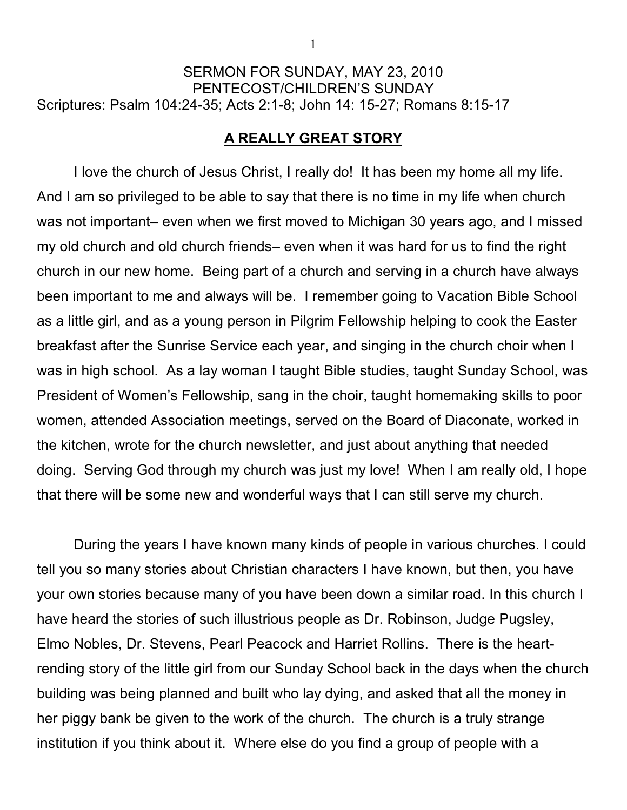## SERMON FOR SUNDAY, MAY 23, 2010 PENTECOST/CHILDREN'S SUNDAY Scriptures: Psalm 104:24-35; Acts 2:1-8; John 14: 15-27; Romans 8:15-17

## **A REALLY GREAT STORY**

I love the church of Jesus Christ, I really do! It has been my home all my life. And I am so privileged to be able to say that there is no time in my life when church was not important– even when we first moved to Michigan 30 years ago, and I missed my old church and old church friends– even when it was hard for us to find the right church in our new home. Being part of a church and serving in a church have always been important to me and always will be. I remember going to Vacation Bible School as a little girl, and as a young person in Pilgrim Fellowship helping to cook the Easter breakfast after the Sunrise Service each year, and singing in the church choir when I was in high school. As a lay woman I taught Bible studies, taught Sunday School, was President of Women's Fellowship, sang in the choir, taught homemaking skills to poor women, attended Association meetings, served on the Board of Diaconate, worked in the kitchen, wrote for the church newsletter, and just about anything that needed doing. Serving God through my church was just my love! When I am really old, I hope that there will be some new and wonderful ways that I can still serve my church.

During the years I have known many kinds of people in various churches. I could tell you so many stories about Christian characters I have known, but then, you have your own stories because many of you have been down a similar road. In this church I have heard the stories of such illustrious people as Dr. Robinson, Judge Pugsley, Elmo Nobles, Dr. Stevens, Pearl Peacock and Harriet Rollins. There is the heartrending story of the little girl from our Sunday School back in the days when the church building was being planned and built who lay dying, and asked that all the money in her piggy bank be given to the work of the church. The church is a truly strange institution if you think about it. Where else do you find a group of people with a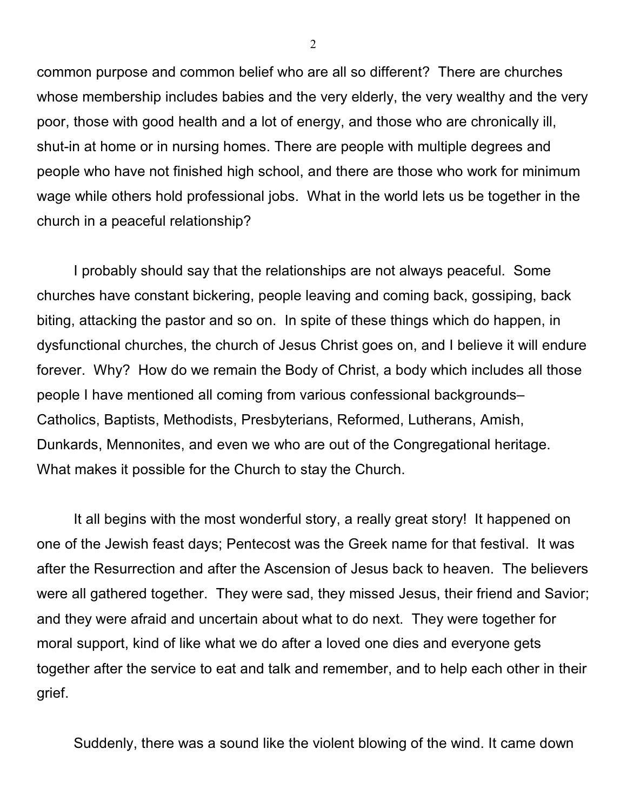common purpose and common belief who are all so different? There are churches whose membership includes babies and the very elderly, the very wealthy and the very poor, those with good health and a lot of energy, and those who are chronically ill, shut-in at home or in nursing homes. There are people with multiple degrees and people who have not finished high school, and there are those who work for minimum wage while others hold professional jobs. What in the world lets us be together in the church in a peaceful relationship?

I probably should say that the relationships are not always peaceful. Some churches have constant bickering, people leaving and coming back, gossiping, back biting, attacking the pastor and so on. In spite of these things which do happen, in dysfunctional churches, the church of Jesus Christ goes on, and I believe it will endure forever. Why? How do we remain the Body of Christ, a body which includes all those people I have mentioned all coming from various confessional backgrounds– Catholics, Baptists, Methodists, Presbyterians, Reformed, Lutherans, Amish, Dunkards, Mennonites, and even we who are out of the Congregational heritage. What makes it possible for the Church to stay the Church.

It all begins with the most wonderful story, a really great story! It happened on one of the Jewish feast days; Pentecost was the Greek name for that festival. It was after the Resurrection and after the Ascension of Jesus back to heaven. The believers were all gathered together. They were sad, they missed Jesus, their friend and Savior; and they were afraid and uncertain about what to do next. They were together for moral support, kind of like what we do after a loved one dies and everyone gets together after the service to eat and talk and remember, and to help each other in their grief.

Suddenly, there was a sound like the violent blowing of the wind. It came down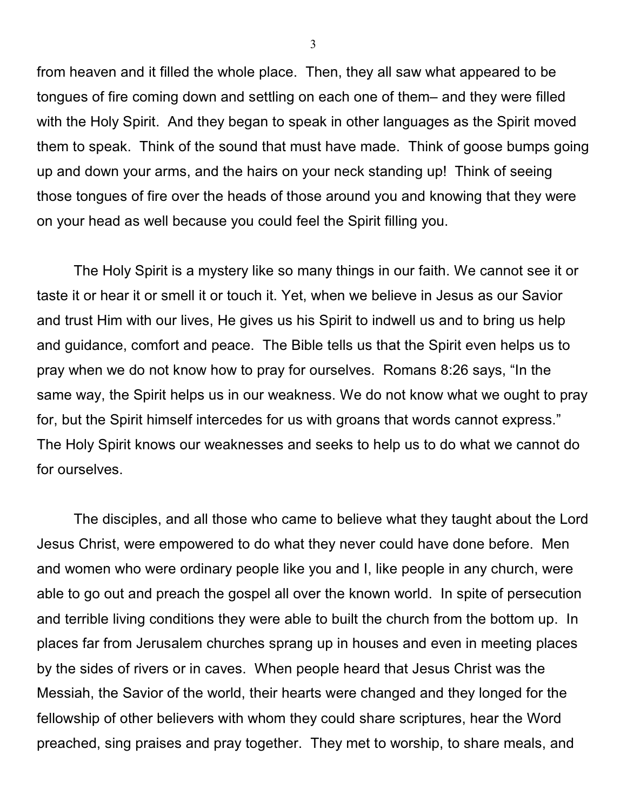from heaven and it filled the whole place. Then, they all saw what appeared to be tongues of fire coming down and settling on each one of them– and they were filled with the Holy Spirit. And they began to speak in other languages as the Spirit moved them to speak. Think of the sound that must have made. Think of goose bumps going up and down your arms, and the hairs on your neck standing up! Think of seeing those tongues of fire over the heads of those around you and knowing that they were on your head as well because you could feel the Spirit filling you.

The Holy Spirit is a mystery like so many things in our faith. We cannot see it or taste it or hear it or smell it or touch it. Yet, when we believe in Jesus as our Savior and trust Him with our lives, He gives us his Spirit to indwell us and to bring us help and guidance, comfort and peace. The Bible tells us that the Spirit even helps us to pray when we do not know how to pray for ourselves. Romans 8:26 says, "In the same way, the Spirit helps us in our weakness. We do not know what we ought to pray for, but the Spirit himself intercedes for us with groans that words cannot express." The Holy Spirit knows our weaknesses and seeks to help us to do what we cannot do for ourselves.

The disciples, and all those who came to believe what they taught about the Lord Jesus Christ, were empowered to do what they never could have done before. Men and women who were ordinary people like you and I, like people in any church, were able to go out and preach the gospel all over the known world. In spite of persecution and terrible living conditions they were able to built the church from the bottom up. In places far from Jerusalem churches sprang up in houses and even in meeting places by the sides of rivers or in caves. When people heard that Jesus Christ was the Messiah, the Savior of the world, their hearts were changed and they longed for the fellowship of other believers with whom they could share scriptures, hear the Word preached, sing praises and pray together. They met to worship, to share meals, and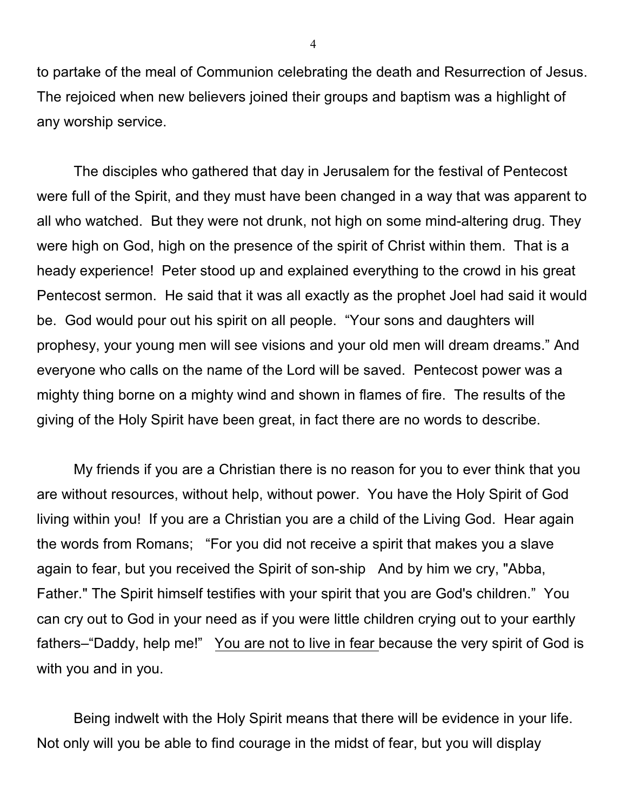to partake of the meal of Communion celebrating the death and Resurrection of Jesus. The rejoiced when new believers joined their groups and baptism was a highlight of any worship service.

The disciples who gathered that day in Jerusalem for the festival of Pentecost were full of the Spirit, and they must have been changed in a way that was apparent to all who watched. But they were not drunk, not high on some mind-altering drug. They were high on God, high on the presence of the spirit of Christ within them. That is a heady experience! Peter stood up and explained everything to the crowd in his great Pentecost sermon. He said that it was all exactly as the prophet Joel had said it would be. God would pour out his spirit on all people. "Your sons and daughters will prophesy, your young men will see visions and your old men will dream dreams." And everyone who calls on the name of the Lord will be saved. Pentecost power was a mighty thing borne on a mighty wind and shown in flames of fire. The results of the giving of the Holy Spirit have been great, in fact there are no words to describe.

My friends if you are a Christian there is no reason for you to ever think that you are without resources, without help, without power. You have the Holy Spirit of God living within you! If you are a Christian you are a child of the Living God. Hear again the words from Romans; "For you did not receive a spirit that makes you a slave again to fear, but you received the Spirit of son-ship And by him we cry, "Abba, Father." The Spirit himself testifies with your spirit that you are God's children." You can cry out to God in your need as if you were little children crying out to your earthly fathers–"Daddy, help me!" You are not to live in fear because the very spirit of God is with you and in you.

Being indwelt with the Holy Spirit means that there will be evidence in your life. Not only will you be able to find courage in the midst of fear, but you will display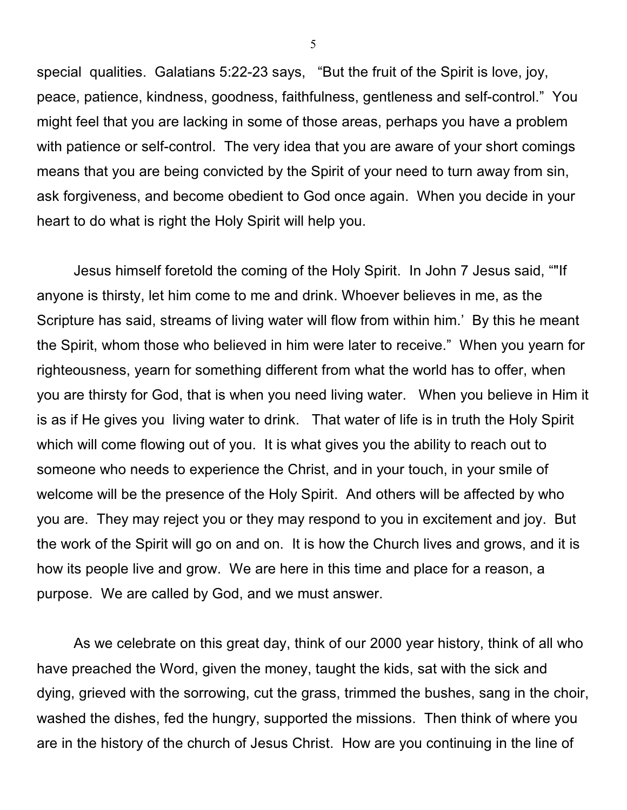special qualities. Galatians 5:22-23 says, "But the fruit of the Spirit is love, joy, peace, patience, kindness, goodness, faithfulness, gentleness and self-control." You might feel that you are lacking in some of those areas, perhaps you have a problem with patience or self-control. The very idea that you are aware of your short comings means that you are being convicted by the Spirit of your need to turn away from sin, ask forgiveness, and become obedient to God once again. When you decide in your heart to do what is right the Holy Spirit will help you.

Jesus himself foretold the coming of the Holy Spirit. In John 7 Jesus said, ""If anyone is thirsty, let him come to me and drink. Whoever believes in me, as the Scripture has said, streams of living water will flow from within him.' By this he meant the Spirit, whom those who believed in him were later to receive." When you yearn for righteousness, yearn for something different from what the world has to offer, when you are thirsty for God, that is when you need living water. When you believe in Him it is as if He gives you living water to drink. That water of life is in truth the Holy Spirit which will come flowing out of you. It is what gives you the ability to reach out to someone who needs to experience the Christ, and in your touch, in your smile of welcome will be the presence of the Holy Spirit. And others will be affected by who you are. They may reject you or they may respond to you in excitement and joy. But the work of the Spirit will go on and on. It is how the Church lives and grows, and it is how its people live and grow. We are here in this time and place for a reason, a purpose. We are called by God, and we must answer.

As we celebrate on this great day, think of our 2000 year history, think of all who have preached the Word, given the money, taught the kids, sat with the sick and dying, grieved with the sorrowing, cut the grass, trimmed the bushes, sang in the choir, washed the dishes, fed the hungry, supported the missions. Then think of where you are in the history of the church of Jesus Christ. How are you continuing in the line of